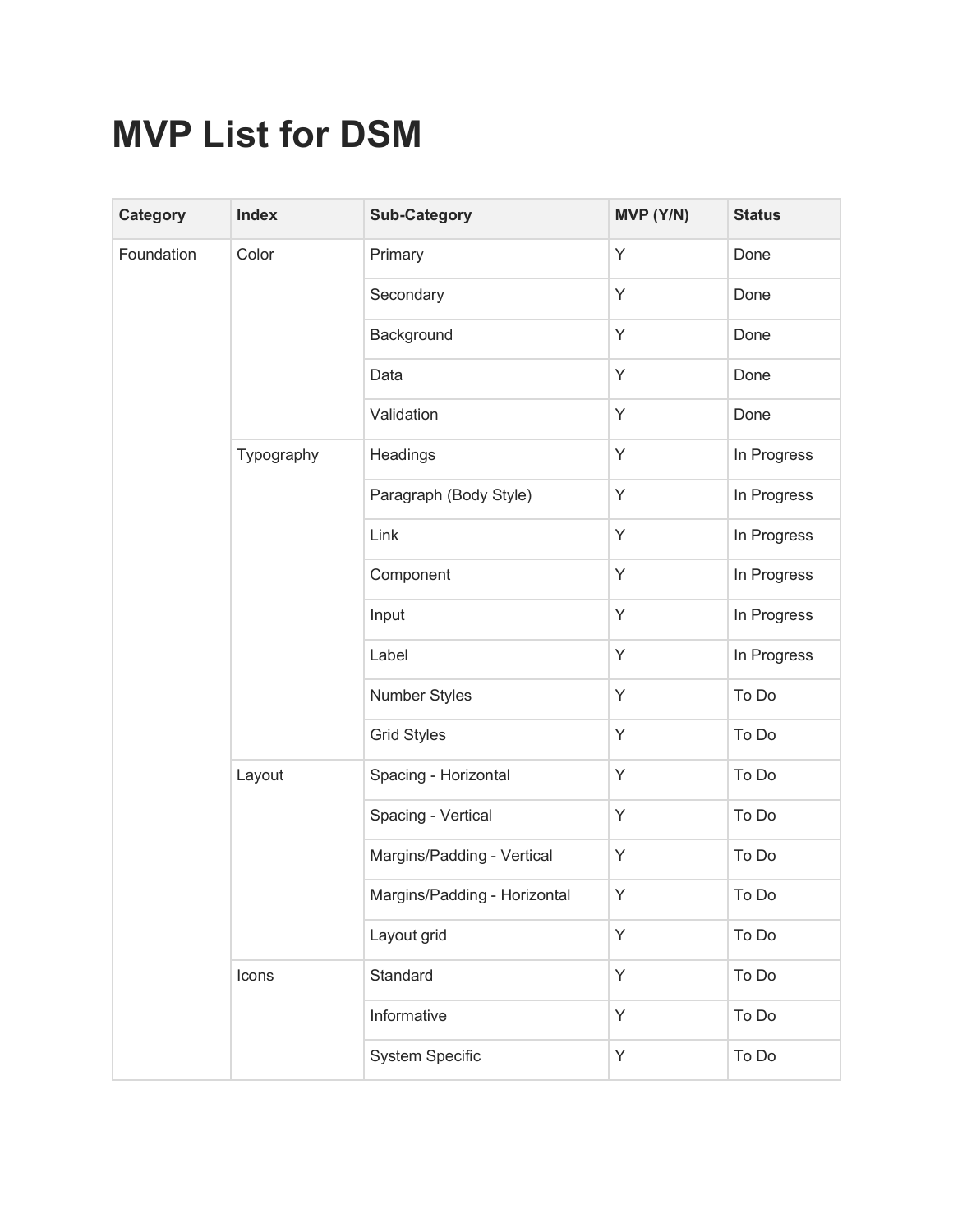## **MVP List for DSM**

| <b>Category</b> | Index      | <b>Sub-Category</b>          | MVP (Y/N) | <b>Status</b> |
|-----------------|------------|------------------------------|-----------|---------------|
| Foundation      | Color      | Primary                      | Y         | Done          |
|                 |            | Secondary                    | Y         | Done          |
|                 |            | Background                   | Y         | Done          |
|                 |            | Data                         | Y         | Done          |
|                 |            | Validation                   | Y         | Done          |
|                 | Typography | Headings                     | Y         | In Progress   |
|                 |            | Paragraph (Body Style)       | Y         | In Progress   |
|                 |            | Link                         | Y         | In Progress   |
|                 |            | Component                    | Y         | In Progress   |
|                 |            | Input                        | Y         | In Progress   |
|                 |            | Label                        | Y         | In Progress   |
|                 |            | <b>Number Styles</b>         | Y         | To Do         |
|                 |            | <b>Grid Styles</b>           | Y         | To Do         |
|                 | Layout     | Spacing - Horizontal         | Y         | To Do         |
|                 |            | Spacing - Vertical           | Y         | To Do         |
|                 |            | Margins/Padding - Vertical   | Y         | To Do         |
|                 |            | Margins/Padding - Horizontal | Y.        | To Do         |
|                 |            | Layout grid                  | Y         | To Do         |
|                 | Icons      | Standard                     | Y         | To Do         |
|                 |            | Informative                  | Y         | To Do         |
|                 |            | System Specific              | Y         | To Do         |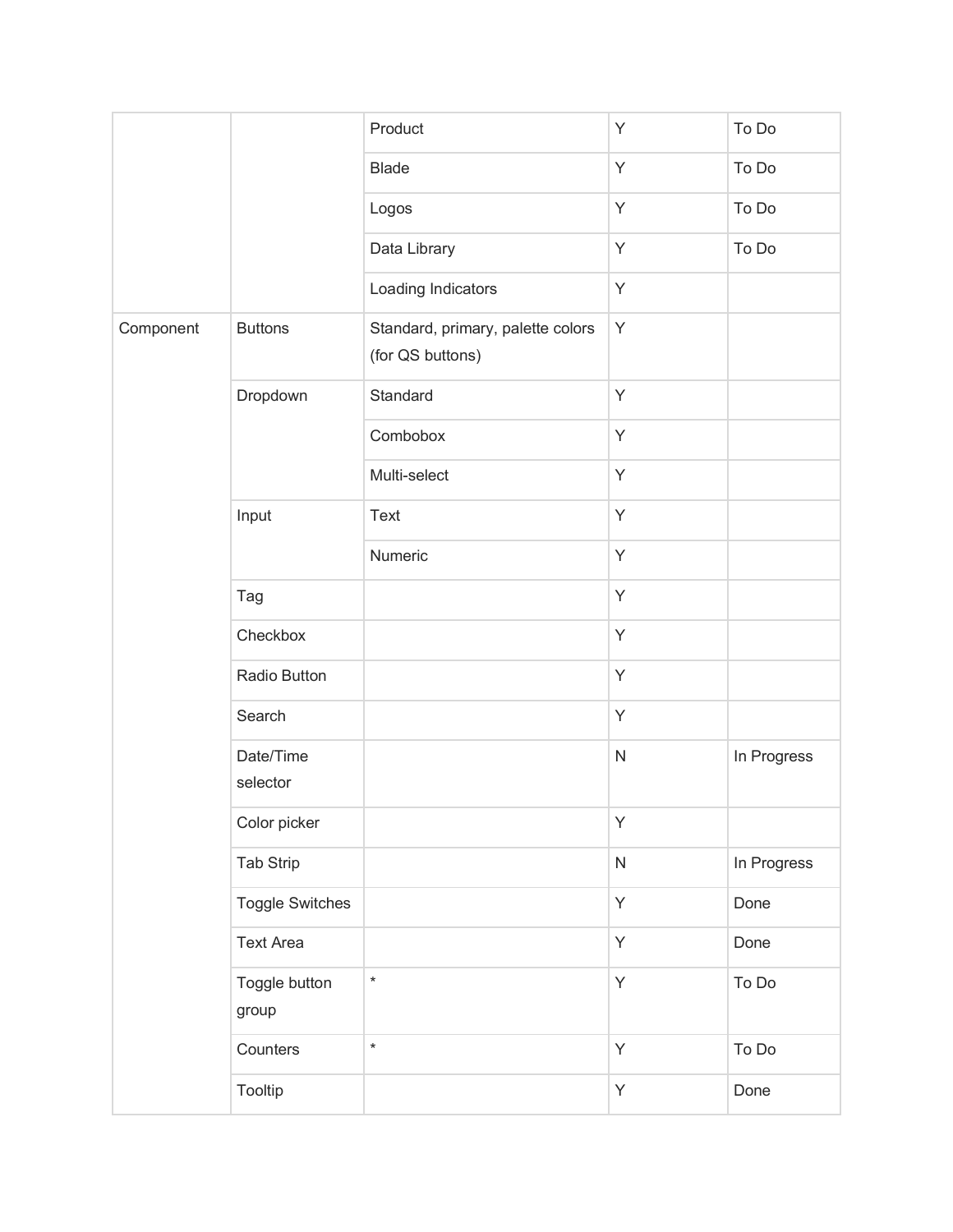|           |                        | Product                                               | Y         | To Do       |
|-----------|------------------------|-------------------------------------------------------|-----------|-------------|
|           |                        | <b>Blade</b>                                          | Y         | To Do       |
|           |                        | Logos                                                 | Y         | To Do       |
|           |                        | Data Library                                          | Y         | To Do       |
|           |                        | Loading Indicators                                    | Υ         |             |
| Component | <b>Buttons</b>         | Standard, primary, palette colors<br>(for QS buttons) | Y         |             |
|           | Dropdown               | Standard                                              | Y         |             |
|           |                        | Combobox                                              | Y         |             |
|           |                        | Multi-select                                          | Y         |             |
|           | Input                  | Text                                                  | Y         |             |
|           |                        | Numeric                                               | Y         |             |
|           | Tag                    |                                                       | Y         |             |
|           | Checkbox               |                                                       | Y         |             |
|           | Radio Button           |                                                       | Y         |             |
|           | Search                 |                                                       | Y         |             |
|           | Date/Time<br>selector  |                                                       | ${\sf N}$ | In Progress |
|           | Color picker           |                                                       | Y         |             |
|           | <b>Tab Strip</b>       |                                                       | ${\sf N}$ | In Progress |
|           | <b>Toggle Switches</b> |                                                       | Y         | Done        |
|           | <b>Text Area</b>       |                                                       | Y         | Done        |
|           | Toggle button<br>group | $\star$                                               | Y         | To Do       |
|           | Counters               | $\star$                                               | Y         | To Do       |
|           | Tooltip                |                                                       | Y         | Done        |